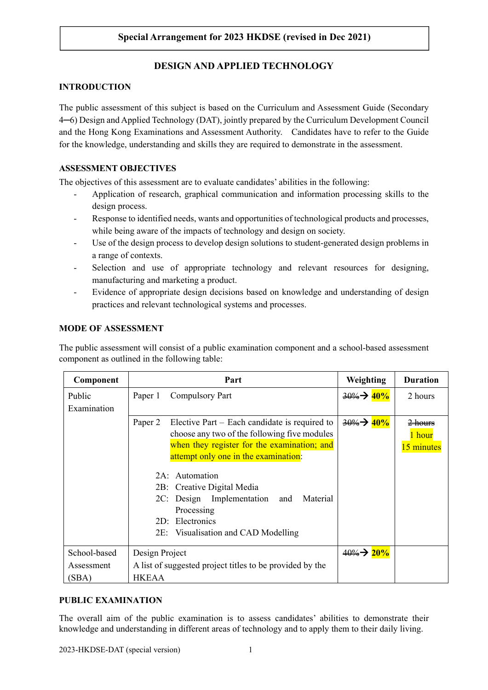# **DESIGN AND APPLIED TECHNOLOGY**

# **INTRODUCTION**

The public assessment of this subject is based on the Curriculum and Assessment Guide (Secondary 4─6) Design and Applied Technology (DAT), jointly prepared by the Curriculum Development Council and the Hong Kong Examinations and Assessment Authority. Candidates have to refer to the Guide for the knowledge, understanding and skills they are required to demonstrate in the assessment.

## **ASSESSMENT OBJECTIVES**

The objectives of this assessment are to evaluate candidates' abilities in the following:

- Application of research, graphical communication and information processing skills to the design process.
- Response to identified needs, wants and opportunities of technological products and processes, while being aware of the impacts of technology and design on society.
- Use of the design process to develop design solutions to student-generated design problems in a range of contexts.
- Selection and use of appropriate technology and relevant resources for designing, manufacturing and marketing a product.
- Evidence of appropriate design decisions based on knowledge and understanding of design practices and relevant technological systems and processes.

## **MODE OF ASSESSMENT**

The public assessment will consist of a public examination component and a school-based assessment component as outlined in the following table:

| Component    | Part                                                       | Weighting                                             | <b>Duration</b> |
|--------------|------------------------------------------------------------|-------------------------------------------------------|-----------------|
| Public       | Compulsory Part<br>Paper 1                                 | $\frac{30\%}{2}$ $\rightarrow$ $\frac{40\%}{2}$       | 2 hours         |
| Examination  |                                                            |                                                       |                 |
|              | Paper 2<br>Elective Part $-$ Each candidate is required to | $\frac{30\%}{20\%}$ $\rightarrow$ $\frac{40\%}{20\%}$ | $2$ hours       |
|              | choose any two of the following five modules               |                                                       | 1 hour          |
|              | when they register for the examination; and                |                                                       | 15 minutes      |
|              | attempt only one in the examination:                       |                                                       |                 |
|              | 2A: Automation                                             |                                                       |                 |
|              |                                                            |                                                       |                 |
|              | 2B: Creative Digital Media                                 |                                                       |                 |
|              | 2C: Design Implementation<br>and                           | Material                                              |                 |
|              | Processing                                                 |                                                       |                 |
|              | Electronics<br>2D:                                         |                                                       |                 |
|              | 2E: Visualisation and CAD Modelling                        |                                                       |                 |
|              |                                                            |                                                       |                 |
| School-based | Design Project                                             | $40\%$ $\rightarrow$ 20%                              |                 |
| Assessment   | A list of suggested project titles to be provided by the   |                                                       |                 |
| (SBA)        | <b>HKEAA</b>                                               |                                                       |                 |

### **PUBLIC EXAMINATION**

The overall aim of the public examination is to assess candidates' abilities to demonstrate their knowledge and understanding in different areas of technology and to apply them to their daily living.